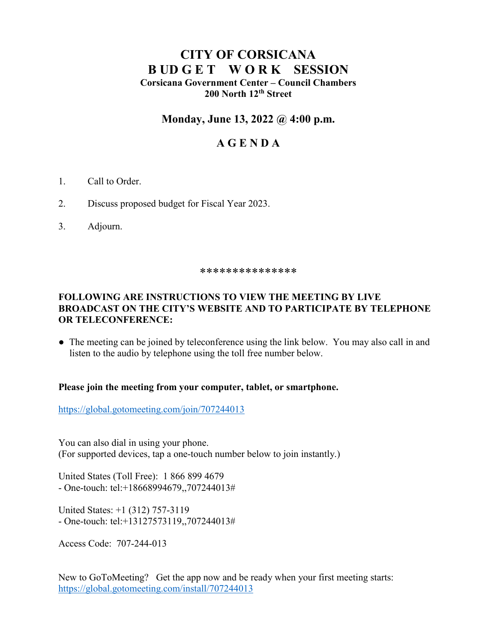# **CITY OF CORSICANA B UD G E T W O R K SESSION Corsicana Government Center – Council Chambers 200 North 12th Street**

## **Monday, June 13, 2022 @ 4:00 p.m.**

## **A G E N D A**

- 1. Call to Order.
- 2. Discuss proposed budget for Fiscal Year 2023.
- 3. Adjourn.

#### \*\*\*\*\*\*\*\*\*\*\*\*\*\*\*

### **FOLLOWING ARE INSTRUCTIONS TO VIEW THE MEETING BY LIVE BROADCAST ON THE CITY'S WEBSITE AND TO PARTICIPATE BY TELEPHONE OR TELECONFERENCE:**

• The meeting can be joined by teleconference using the link below. You may also call in and listen to the audio by telephone using the toll free number below.

### **Please join the meeting from your computer, tablet, or smartphone.**

<https://global.gotomeeting.com/join/707244013>

You can also dial in using your phone. (For supported devices, tap a one-touch number below to join instantly.)

United States (Toll Free): 1 866 899 4679 - One-touch: tel:+18668994679,,707244013#

United States: +1 (312) 757-3119 - One-touch: tel:+13127573119,,707244013#

Access Code: 707-244-013

New to GoToMeeting? Get the app now and be ready when your first meeting starts: <https://global.gotomeeting.com/install/707244013>